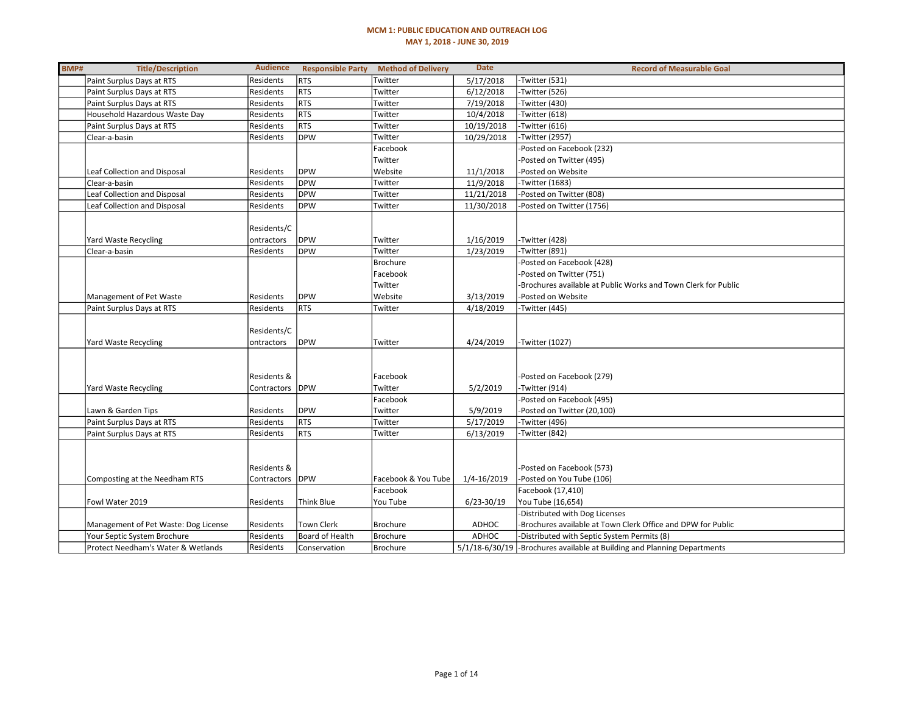### MCM 1: PUBLIC EDUCATION AND OUTREACH LOG MAY 1, 2018 - JUNE 30, 2019

| BMP# | <b>Title/Description</b>             | <b>Audience</b> | <b>Responsible Party</b> | <b>Method of Delivery</b> | <b>Date</b>    | <b>Record of Measurable Goal</b>                                          |
|------|--------------------------------------|-----------------|--------------------------|---------------------------|----------------|---------------------------------------------------------------------------|
|      | Paint Surplus Days at RTS            | Residents       | <b>RTS</b>               | Twitter                   | 5/17/2018      | -Twitter (531)                                                            |
|      | Paint Surplus Days at RTS            | Residents       | <b>RTS</b>               | Twitter                   | 6/12/2018      | -Twitter (526)                                                            |
|      | Paint Surplus Days at RTS            | Residents       | <b>RTS</b>               | Twitter                   | 7/19/2018      | -Twitter (430)                                                            |
|      | Household Hazardous Waste Day        | Residents       | <b>RTS</b>               | Twitter                   | 10/4/2018      | -Twitter (618)                                                            |
|      | Paint Surplus Days at RTS            | Residents       | <b>RTS</b>               | Twitter                   | 10/19/2018     | -Twitter (616)                                                            |
|      | Clear-a-basin                        | Residents       | <b>DPW</b>               | Twitter                   | 10/29/2018     | -Twitter (2957)                                                           |
|      |                                      |                 |                          | Facebook                  |                | -Posted on Facebook (232)                                                 |
|      |                                      |                 |                          | Twitter                   |                | -Posted on Twitter (495)                                                  |
|      | Leaf Collection and Disposal         | Residents       | <b>DPW</b>               | Website                   | 11/1/2018      | Posted on Website                                                         |
|      | Clear-a-basin                        | Residents       | <b>DPW</b>               | Twitter                   | 11/9/2018      | -Twitter (1683)                                                           |
|      | Leaf Collection and Disposal         | Residents       | <b>DPW</b>               | Twitter                   | 11/21/2018     | -Posted on Twitter (808)                                                  |
|      | Leaf Collection and Disposal         | Residents       | <b>DPW</b>               | Twitter                   | 11/30/2018     | -Posted on Twitter (1756)                                                 |
|      |                                      |                 |                          |                           |                |                                                                           |
|      |                                      | Residents/C     |                          |                           |                |                                                                           |
|      | Yard Waste Recycling                 | ontractors      | <b>DPW</b>               | Twitter                   | 1/16/2019      | -Twitter (428)                                                            |
|      | Clear-a-basin                        | Residents       | <b>DPW</b>               | Twitter                   | 1/23/2019      | -Twitter (891)                                                            |
|      |                                      |                 |                          | <b>Brochure</b>           |                | -Posted on Facebook (428)                                                 |
|      |                                      |                 |                          | Facebook                  |                | -Posted on Twitter (751)                                                  |
|      |                                      |                 |                          | Twitter                   |                | -Brochures available at Public Works and Town Clerk for Public            |
|      | Management of Pet Waste              | Residents       | <b>DPW</b>               | Website                   | 3/13/2019      | -Posted on Website                                                        |
|      | Paint Surplus Days at RTS            | Residents       | <b>RTS</b>               | Twitter                   | 4/18/2019      | -Twitter (445)                                                            |
|      |                                      |                 |                          |                           |                |                                                                           |
|      |                                      | Residents/C     |                          |                           |                |                                                                           |
|      | Yard Waste Recycling                 | ontractors      | <b>DPW</b>               | Twitter                   | 4/24/2019      | -Twitter (1027)                                                           |
|      |                                      |                 |                          |                           |                |                                                                           |
|      |                                      |                 |                          |                           |                |                                                                           |
|      |                                      | Residents &     |                          | Facebook                  |                | -Posted on Facebook (279)                                                 |
|      | Yard Waste Recycling                 | Contractors     | <b>IDPW</b>              | Twitter                   | 5/2/2019       | -Twitter (914)                                                            |
|      |                                      |                 |                          | Facebook                  |                | -Posted on Facebook (495)                                                 |
|      | Lawn & Garden Tips                   | Residents       | <b>DPW</b>               | Twitter                   | 5/9/2019       | -Posted on Twitter (20,100)                                               |
|      | Paint Surplus Days at RTS            | Residents       | <b>RTS</b>               | Twitter                   | 5/17/2019      | -Twitter (496)                                                            |
|      | Paint Surplus Days at RTS            | Residents       | <b>RTS</b>               | Twitter                   | 6/13/2019      | -Twitter (842)                                                            |
|      |                                      |                 |                          |                           |                |                                                                           |
|      |                                      |                 |                          |                           |                |                                                                           |
|      |                                      | Residents &     |                          |                           |                | -Posted on Facebook (573)                                                 |
|      | Composting at the Needham RTS        | Contractors     | DPW                      | Facebook & You Tube       | 1/4-16/2019    | -Posted on You Tube (106)                                                 |
|      |                                      |                 |                          | Facebook                  |                | Facebook (17,410)                                                         |
|      | Fowl Water 2019                      | Residents       | <b>Think Blue</b>        | You Tube                  | $6/23 - 30/19$ | You Tube (16,654)                                                         |
|      |                                      |                 |                          |                           |                | -Distributed with Dog Licenses                                            |
|      | Management of Pet Waste: Dog License | Residents       | <b>Town Clerk</b>        | <b>Brochure</b>           | ADHOC          | -Brochures available at Town Clerk Office and DPW for Public              |
|      | Your Septic System Brochure          | Residents       | Board of Health          | <b>Brochure</b>           | <b>ADHOC</b>   | -Distributed with Septic System Permits (8)                               |
|      | Protect Needham's Water & Wetlands   | Residents       | Conservation             | <b>Brochure</b>           |                | 5/1/18-6/30/19 - Brochures available at Building and Planning Departments |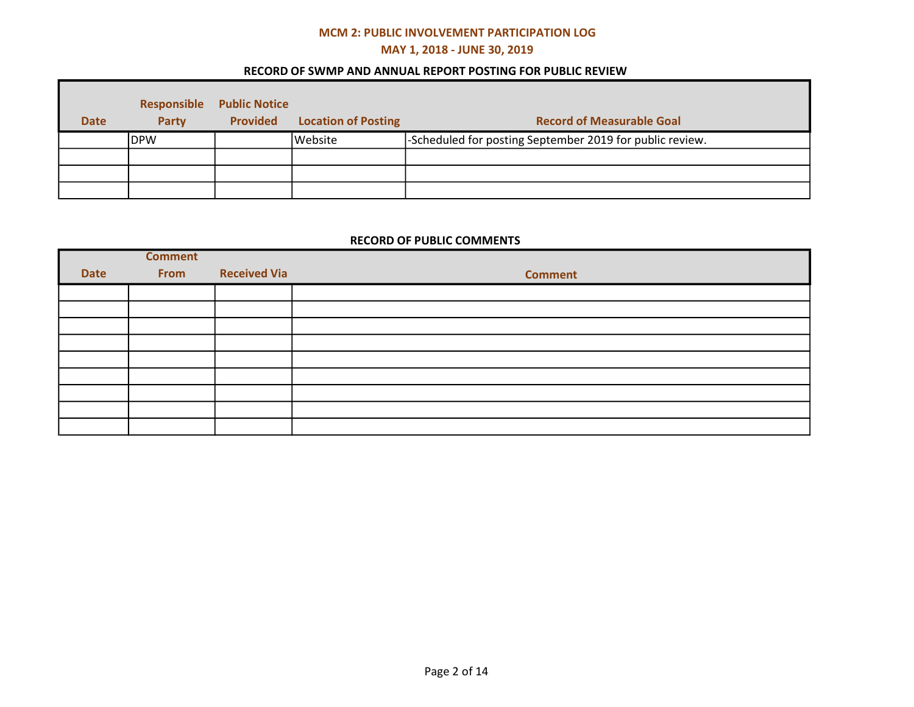# MCM 2: PUBLIC INVOLVEMENT PARTICIPATION LOG

# MAY 1, 2018 - JUNE 30, 2019

## RECORD OF SWMP AND ANNUAL REPORT POSTING FOR PUBLIC REVIEW

| <b>Date</b> | Responsible<br>Party | <b>Public Notice</b><br><b>Provided</b> | <b>Location of Posting</b> | <b>Record of Measurable Goal</b>                         |
|-------------|----------------------|-----------------------------------------|----------------------------|----------------------------------------------------------|
|             | IDPW                 |                                         | Website                    | -Scheduled for posting September 2019 for public review. |
|             |                      |                                         |                            |                                                          |
|             |                      |                                         |                            |                                                          |
|             |                      |                                         |                            |                                                          |

## RECORD OF PUBLIC COMMENTS

|             | <b>Comment</b> |                     |                |
|-------------|----------------|---------------------|----------------|
| <b>Date</b> | From           | <b>Received Via</b> | <b>Comment</b> |
|             |                |                     |                |
|             |                |                     |                |
|             |                |                     |                |
|             |                |                     |                |
|             |                |                     |                |
|             |                |                     |                |
|             |                |                     |                |
|             |                |                     |                |
|             |                |                     |                |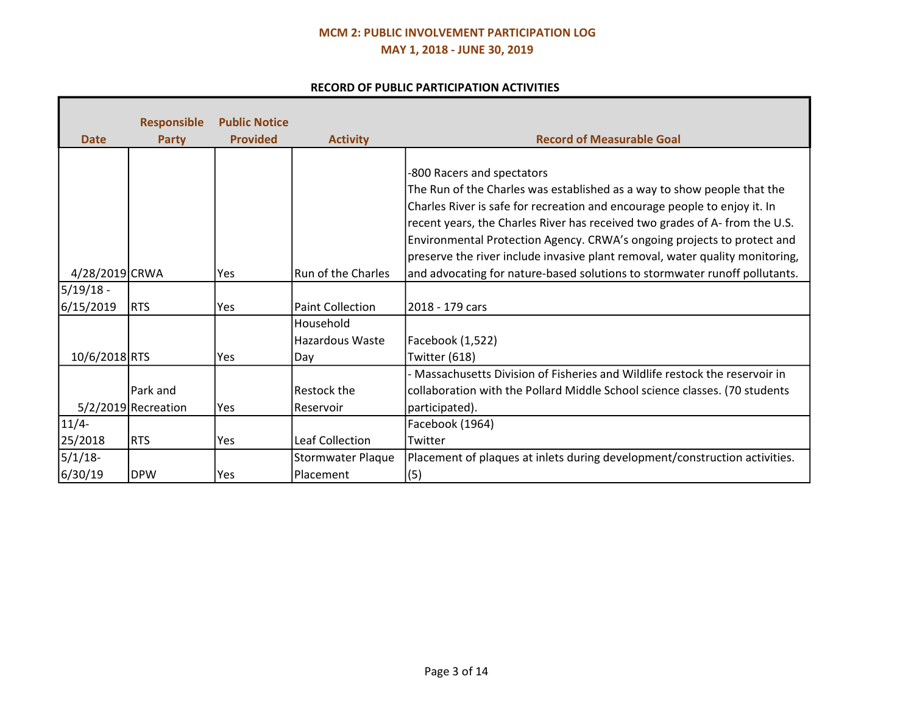# MCM 2: PUBLIC INVOLVEMENT PARTICIPATION LOG MAY 1, 2018 - JUNE 30, 2019

## RECORD OF PUBLIC PARTICIPATION ACTIVITIES

| <b>Date</b>    | <b>Responsible</b>    | <b>Public Notice</b><br><b>Provided</b> |                                     | <b>Record of Measurable Goal</b>                                                                                                                                                                                                                                                                                                                                                                                            |
|----------------|-----------------------|-----------------------------------------|-------------------------------------|-----------------------------------------------------------------------------------------------------------------------------------------------------------------------------------------------------------------------------------------------------------------------------------------------------------------------------------------------------------------------------------------------------------------------------|
|                | <b>Party</b>          |                                         | <b>Activity</b>                     |                                                                                                                                                                                                                                                                                                                                                                                                                             |
|                |                       |                                         |                                     | -800 Racers and spectators<br>The Run of the Charles was established as a way to show people that the<br>Charles River is safe for recreation and encourage people to enjoy it. In<br>recent years, the Charles River has received two grades of A-from the U.S.<br>Environmental Protection Agency. CRWA's ongoing projects to protect and<br>preserve the river include invasive plant removal, water quality monitoring, |
| 4/28/2019 CRWA |                       | <b>Yes</b>                              | Run of the Charles                  | and advocating for nature-based solutions to stormwater runoff pollutants.                                                                                                                                                                                                                                                                                                                                                  |
| $5/19/18 -$    |                       |                                         |                                     |                                                                                                                                                                                                                                                                                                                                                                                                                             |
| 6/15/2019      | RTS                   | Yes                                     | <b>Paint Collection</b>             | 2018 - 179 cars                                                                                                                                                                                                                                                                                                                                                                                                             |
| 10/6/2018 RTS  |                       | <b>Yes</b>                              | Household<br>Hazardous Waste<br>Day | Facebook (1,522)<br>Twitter (618)                                                                                                                                                                                                                                                                                                                                                                                           |
|                |                       |                                         |                                     | Massachusetts Division of Fisheries and Wildlife restock the reservoir in                                                                                                                                                                                                                                                                                                                                                   |
|                | Park and              |                                         | Restock the                         | collaboration with the Pollard Middle School science classes. (70 students                                                                                                                                                                                                                                                                                                                                                  |
|                | $5/2/2019$ Recreation | Yes                                     | Reservoir                           | participated).                                                                                                                                                                                                                                                                                                                                                                                                              |
| $11/4-$        |                       |                                         |                                     | Facebook (1964)                                                                                                                                                                                                                                                                                                                                                                                                             |
| 25/2018        | <b>RTS</b>            | Yes                                     | <b>Leaf Collection</b>              | Twitter                                                                                                                                                                                                                                                                                                                                                                                                                     |
| $5/1/18$ -     |                       |                                         | <b>Stormwater Plaque</b>            | Placement of plaques at inlets during development/construction activities.                                                                                                                                                                                                                                                                                                                                                  |
| 6/30/19        | <b>DPW</b>            | Yes                                     | Placement                           | (5)                                                                                                                                                                                                                                                                                                                                                                                                                         |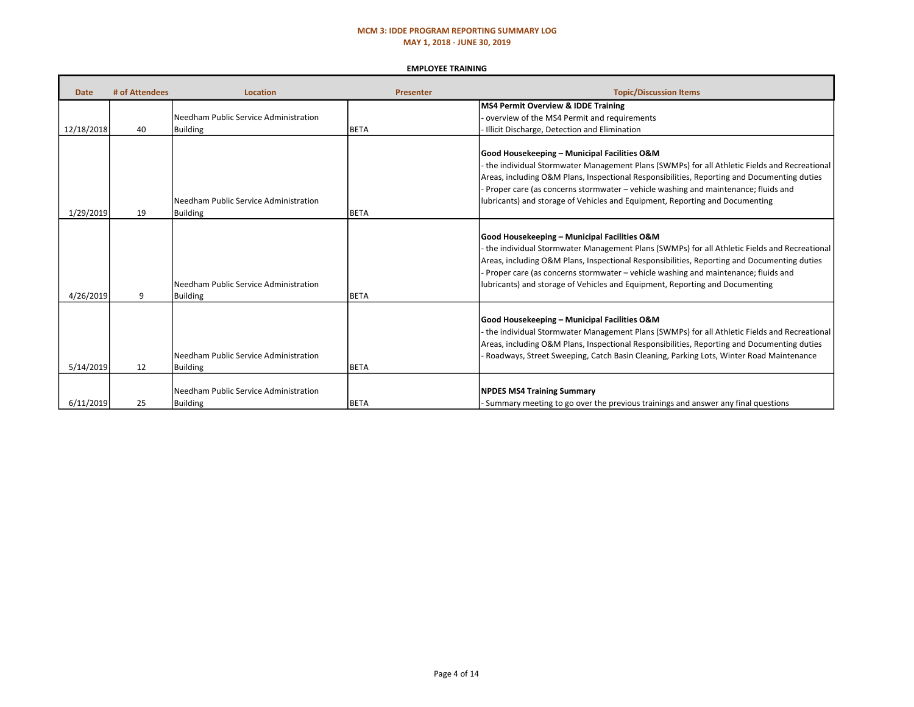### MCM 3: IDDE PROGRAM REPORTING SUMMARY LOG MAY 1, 2018 - JUNE 30, 2019

#### EMPLOYEE TRAINING

| <b>Date</b> | # of Attendees | <b>Location</b>                                            | <b>Presenter</b> | <b>Topic/Discussion Items</b>                                                                                                                                                                                                                                                                                                                                                                                   |
|-------------|----------------|------------------------------------------------------------|------------------|-----------------------------------------------------------------------------------------------------------------------------------------------------------------------------------------------------------------------------------------------------------------------------------------------------------------------------------------------------------------------------------------------------------------|
|             |                |                                                            |                  | MS4 Permit Overview & IDDE Training                                                                                                                                                                                                                                                                                                                                                                             |
|             |                | Needham Public Service Administration                      |                  | overview of the MS4 Permit and requirements                                                                                                                                                                                                                                                                                                                                                                     |
| 12/18/2018  | 40             | <b>Building</b>                                            | <b>BETA</b>      | Illicit Discharge, Detection and Elimination                                                                                                                                                                                                                                                                                                                                                                    |
| 1/29/2019   | 19             | l Needham Public Service Administration<br><b>Building</b> | <b>BETA</b>      | Good Housekeeping - Municipal Facilities O&M<br>the individual Stormwater Management Plans (SWMPs) for all Athletic Fields and Recreational<br>Areas, including O&M Plans, Inspectional Responsibilities, Reporting and Documenting duties<br>Proper care (as concerns stormwater - vehicle washing and maintenance; fluids and<br>lubricants) and storage of Vehicles and Equipment, Reporting and Documenting |
| 4/26/2019   | 9              | Needham Public Service Administration<br><b>Building</b>   | <b>BETA</b>      | Good Housekeeping - Municipal Facilities O&M<br>the individual Stormwater Management Plans (SWMPs) for all Athletic Fields and Recreational<br>Areas, including O&M Plans, Inspectional Responsibilities, Reporting and Documenting duties<br>Proper care (as concerns stormwater – vehicle washing and maintenance; fluids and<br>lubricants) and storage of Vehicles and Equipment, Reporting and Documenting |
| 5/14/2019   | 12             | Needham Public Service Administration<br><b>Building</b>   | <b>BETA</b>      | Good Housekeeping - Municipal Facilities O&M<br>the individual Stormwater Management Plans (SWMPs) for all Athletic Fields and Recreational<br>Areas, including O&M Plans, Inspectional Responsibilities, Reporting and Documenting duties<br>Roadways, Street Sweeping, Catch Basin Cleaning, Parking Lots, Winter Road Maintenance                                                                            |
| 6/11/2019   | 25             | Needham Public Service Administration<br><b>Building</b>   | <b>BETA</b>      | <b>NPDES MS4 Training Summary</b><br>Summary meeting to go over the previous trainings and answer any final questions                                                                                                                                                                                                                                                                                           |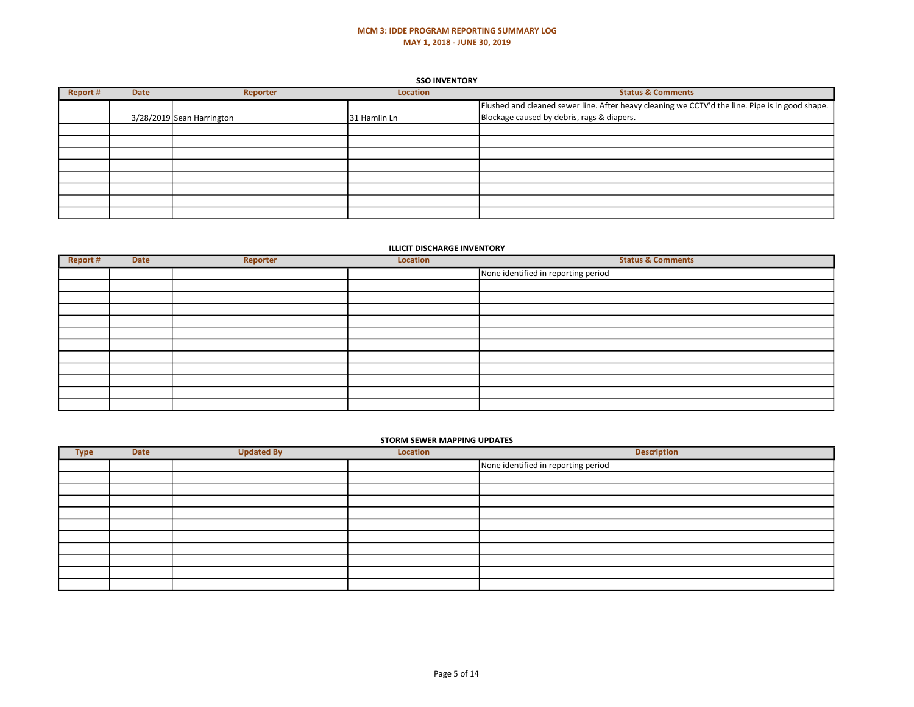### MCM 3: IDDE PROGRAM REPORTING SUMMARY LOG MAY 1, 2018 - JUNE 30, 2019

#### **SSO INVENTORY**

| Report # | <b>Date</b> | Reporter                  | <b>Location</b> | <b>Status &amp; Comments</b>                                                                    |
|----------|-------------|---------------------------|-----------------|-------------------------------------------------------------------------------------------------|
|          |             |                           |                 | Flushed and cleaned sewer line. After heavy cleaning we CCTV'd the line. Pipe is in good shape. |
|          |             | 3/28/2019 Sean Harrington | 31 Hamlin Ln    | Blockage caused by debris, rags & diapers.                                                      |
|          |             |                           |                 |                                                                                                 |
|          |             |                           |                 |                                                                                                 |
|          |             |                           |                 |                                                                                                 |
|          |             |                           |                 |                                                                                                 |
|          |             |                           |                 |                                                                                                 |
|          |             |                           |                 |                                                                                                 |
|          |             |                           |                 |                                                                                                 |
|          |             |                           |                 |                                                                                                 |

### ILLICIT DISCHARGE INVENTORY

| Report # | <b>Date</b> | Reporter | Location | <b>Status &amp; Comments</b>        |
|----------|-------------|----------|----------|-------------------------------------|
|          |             |          |          | None identified in reporting period |
|          |             |          |          |                                     |
|          |             |          |          |                                     |
|          |             |          |          |                                     |
|          |             |          |          |                                     |
|          |             |          |          |                                     |
|          |             |          |          |                                     |
|          |             |          |          |                                     |
|          |             |          |          |                                     |
|          |             |          |          |                                     |
|          |             |          |          |                                     |
|          |             |          |          |                                     |

#### STORM SEWER MAPPING UPDATES

| <b>Type</b> | <b>Date</b> | <b>Updated By</b> | Location | <b>Description</b>                  |
|-------------|-------------|-------------------|----------|-------------------------------------|
|             |             |                   |          | None identified in reporting period |
|             |             |                   |          |                                     |
|             |             |                   |          |                                     |
|             |             |                   |          |                                     |
|             |             |                   |          |                                     |
|             |             |                   |          |                                     |
|             |             |                   |          |                                     |
|             |             |                   |          |                                     |
|             |             |                   |          |                                     |
|             |             |                   |          |                                     |
|             |             |                   |          |                                     |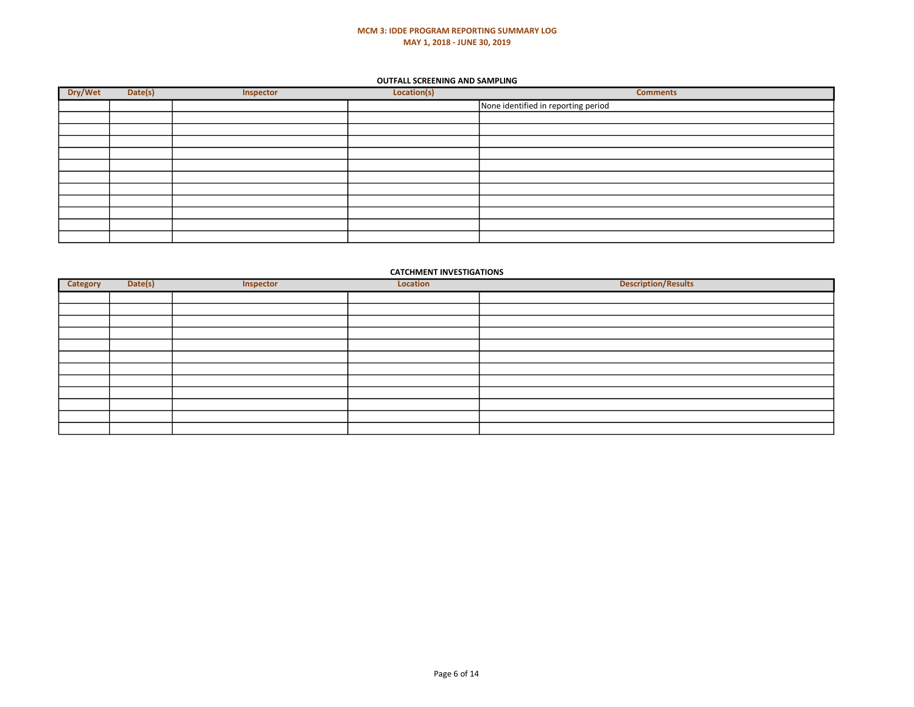### MCM 3: IDDE PROGRAM REPORTING SUMMARY LOG MAY 1, 2018 - JUNE 30, 2019

#### OUTFALL SCREENING AND SAMPLING

| Dry/Wet | Date(s) | Inspector | Location(s) | <b>Comments</b>                     |
|---------|---------|-----------|-------------|-------------------------------------|
|         |         |           |             | None identified in reporting period |
|         |         |           |             |                                     |
|         |         |           |             |                                     |
|         |         |           |             |                                     |
|         |         |           |             |                                     |
|         |         |           |             |                                     |
|         |         |           |             |                                     |
|         |         |           |             |                                     |
|         |         |           |             |                                     |
|         |         |           |             |                                     |
|         |         |           |             |                                     |
|         |         |           |             |                                     |

### CATCHMENT INVESTIGATIONS

| Category | Date(s) | Inspector | Location | Description/Results |
|----------|---------|-----------|----------|---------------------|
|          |         |           |          |                     |
|          |         |           |          |                     |
|          |         |           |          |                     |
|          |         |           |          |                     |
|          |         |           |          |                     |
|          |         |           |          |                     |
|          |         |           |          |                     |
|          |         |           |          |                     |
|          |         |           |          |                     |
|          |         |           |          |                     |
|          |         |           |          |                     |
|          |         |           |          |                     |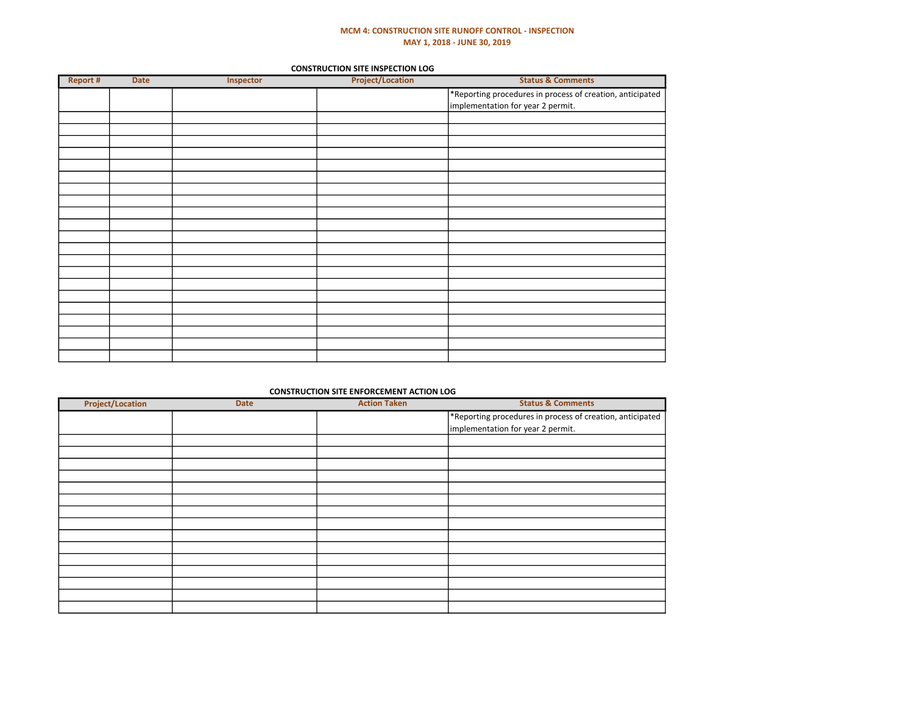### MCM 4: CONSTRUCTION SITE RUNOFF CONTROL - INSPECTION MAY 1, 2018 - JUNE 30, 2019

#### CONSTRUCTION SITE INSPECTION LOG

| Report # | Date | Inspector | <b>Project/Location</b> | <b>Status &amp; Comments</b>                              |
|----------|------|-----------|-------------------------|-----------------------------------------------------------|
|          |      |           |                         | *Reporting procedures in process of creation, anticipated |
|          |      |           |                         | implementation for year 2 permit.                         |
|          |      |           |                         |                                                           |
|          |      |           |                         |                                                           |
|          |      |           |                         |                                                           |
|          |      |           |                         |                                                           |
|          |      |           |                         |                                                           |
|          |      |           |                         |                                                           |
|          |      |           |                         |                                                           |
|          |      |           |                         |                                                           |
|          |      |           |                         |                                                           |
|          |      |           |                         |                                                           |
|          |      |           |                         |                                                           |
|          |      |           |                         |                                                           |
|          |      |           |                         |                                                           |
|          |      |           |                         |                                                           |
|          |      |           |                         |                                                           |
|          |      |           |                         |                                                           |
|          |      |           |                         |                                                           |
|          |      |           |                         |                                                           |
|          |      |           |                         |                                                           |
|          |      |           |                         |                                                           |
|          |      |           |                         |                                                           |
|          |      |           |                         |                                                           |

### CONSTRUCTION SITE ENFORCEMENT ACTION LOG

| <b>Project/Location</b> | <b>Date</b> | <b>Action Taken</b> | <b>Status &amp; Comments</b>                                                                   |
|-------------------------|-------------|---------------------|------------------------------------------------------------------------------------------------|
|                         |             |                     | *Reporting procedures in process of creation, anticipated<br>implementation for year 2 permit. |
|                         |             |                     |                                                                                                |
|                         |             |                     |                                                                                                |
|                         |             |                     |                                                                                                |
|                         |             |                     |                                                                                                |
|                         |             |                     |                                                                                                |
|                         |             |                     |                                                                                                |
|                         |             |                     |                                                                                                |
|                         |             |                     |                                                                                                |
|                         |             |                     |                                                                                                |
|                         |             |                     |                                                                                                |
|                         |             |                     |                                                                                                |
|                         |             |                     |                                                                                                |
|                         |             |                     |                                                                                                |
|                         |             |                     |                                                                                                |
|                         |             |                     |                                                                                                |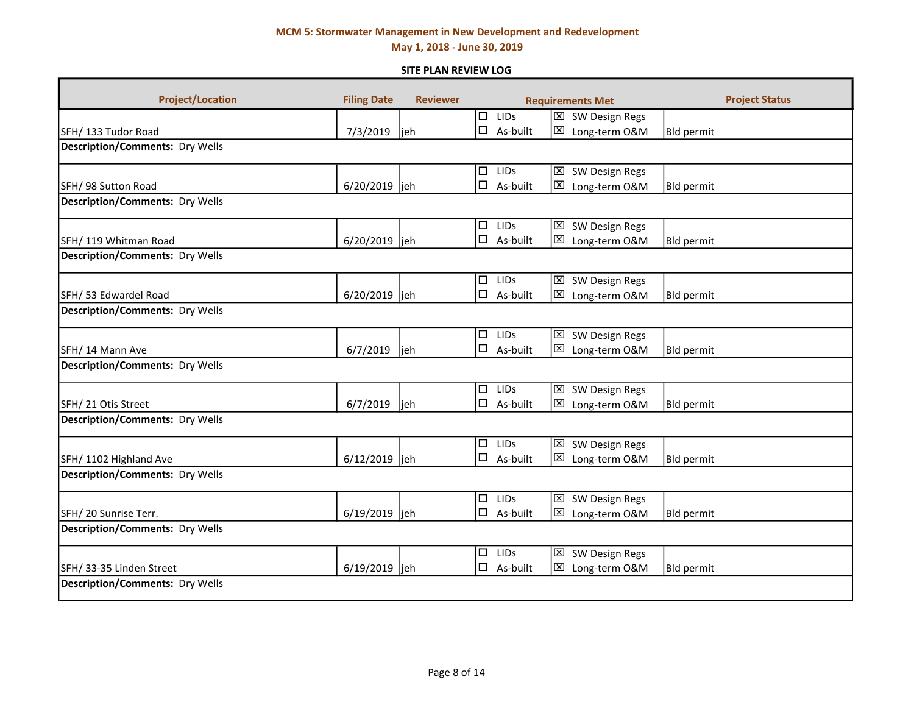May 1, 2018 - June 30, 2019

### SITE PLAN REVIEW LOG

| <b>Project/Location</b>                | <b>Filing Date</b> | <b>Reviewer</b> |        |                 | <b>Requirements Met</b>                   | <b>Project Status</b> |
|----------------------------------------|--------------------|-----------------|--------|-----------------|-------------------------------------------|-----------------------|
|                                        |                    |                 |        | $\Box$ LIDs     | $\overline{\boxtimes}$ SW Design Regs     |                       |
| SFH/133 Tudor Road                     | 7/3/2019           | jeh             | $\Box$ | As-built        | ⊠<br>Long-term O&M                        | <b>Bld permit</b>     |
| <b>Description/Comments: Dry Wells</b> |                    |                 |        |                 |                                           |                       |
|                                        |                    |                 | □      | LIDS            | ⊠ SW Design Regs                          |                       |
| SFH/ 98 Sutton Road                    | 6/20/2019          | jeh             | $\Box$ | As-built        | ⊠<br>Long-term O&M                        | <b>Bld permit</b>     |
| <b>Description/Comments: Dry Wells</b> |                    |                 |        |                 |                                           |                       |
|                                        |                    |                 | 口.     | LIDS            | ⊠<br>SW Design Regs                       |                       |
| SFH/119 Whitman Road                   | 6/20/2019 jeh      |                 |        | $\Box$ As-built | ⊠<br>Long-term O&M                        | <b>Bld permit</b>     |
| <b>Description/Comments: Dry Wells</b> |                    |                 |        |                 |                                           |                       |
|                                        |                    |                 | $\Box$ | LIDS            | SW Design Regs<br>$\mathbf{\overline{X}}$ |                       |
| SFH/ 53 Edwardel Road                  | 6/20/2019 ljeh     |                 | $\Box$ | As-built        | ⊠<br>Long-term O&M                        | <b>Bld permit</b>     |
| <b>Description/Comments: Dry Wells</b> |                    |                 |        |                 |                                           |                       |
|                                        |                    |                 | $\Box$ | LIDS            | $\boxtimes$<br>SW Design Regs             |                       |
| SFH/14 Mann Ave                        | 6/7/2019           | lieh            | $\Box$ | As-built        | ⊠<br>Long-term O&M                        | <b>Bld permit</b>     |
| <b>Description/Comments: Dry Wells</b> |                    |                 |        |                 |                                           |                       |
|                                        |                    |                 | $\Box$ | LIDS            | $\boxtimes$<br>SW Design Regs             |                       |
| SFH/ 21 Otis Street                    | 6/7/2019           | jeh             | $\Box$ | As-built        | 図<br>Long-term O&M                        | <b>Bld permit</b>     |
| <b>Description/Comments: Dry Wells</b> |                    |                 |        |                 |                                           |                       |
|                                        |                    |                 | $\Box$ | LIDS            | $\boxtimes$<br>SW Design Regs             |                       |
| SFH/1102 Highland Ave                  | 6/12/2019 jeh      |                 | $\Box$ | As-built        | ⊠<br>Long-term O&M                        | <b>Bld permit</b>     |
| <b>Description/Comments: Dry Wells</b> |                    |                 |        |                 |                                           |                       |
|                                        |                    |                 |        | $\Box$ LIDs     | ⊠ SW Design Regs                          |                       |
| SFH/20 Sunrise Terr.                   | 6/19/2019 ljeh     |                 | 口.     | As-built        | ⊠<br>Long-term O&M                        | <b>Bld permit</b>     |
| <b>Description/Comments: Dry Wells</b> |                    |                 |        |                 |                                           |                       |
|                                        |                    |                 | $\Box$ | LIDS            | ⊠ SW Design Regs                          |                       |
| SFH/ 33-35 Linden Street               | 6/19/2019 jeh      |                 | $\Box$ | As-built        | 区<br>Long-term O&M                        | <b>Bld permit</b>     |
| <b>Description/Comments: Dry Wells</b> |                    |                 |        |                 |                                           |                       |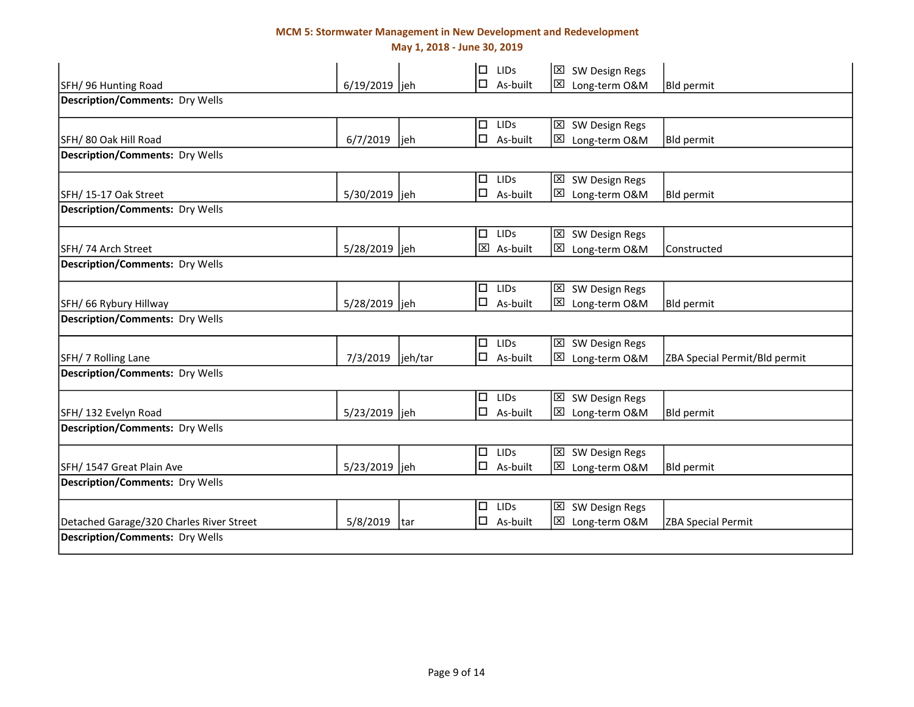May 1, 2018 - June 30, 2019

|                                          |                   |      | $\Box$<br><b>LIDS</b> | $\boxtimes$<br>SW Design Regs  |                               |
|------------------------------------------|-------------------|------|-----------------------|--------------------------------|-------------------------------|
| SFH/96 Hunting Road                      | 6/19/2019  jeh    |      | $\Box$ As-built       | ⊠<br>Long-term O&M             | Bld permit                    |
| <b>Description/Comments: Dry Wells</b>   |                   |      |                       |                                |                               |
|                                          |                   |      | $\Box$<br><b>LIDS</b> | SW Design Regs<br>⊠            |                               |
| SFH/80 Oak Hill Road                     | 6/7/2019          | ljeh | $\Box$<br>As-built    | ⊠<br>Long-term O&M             | Bld permit                    |
| <b>Description/Comments: Dry Wells</b>   |                   |      |                       |                                |                               |
|                                          |                   |      | $\Box$<br><b>LIDS</b> | ⊠<br>SW Design Regs            |                               |
| SFH/15-17 Oak Street                     | 5/30/2019 jeh     |      | $\square$ As-built    | ⊠<br>Long-term O&M             | <b>Bld permit</b>             |
| <b>Description/Comments: Dry Wells</b>   |                   |      |                       |                                |                               |
|                                          |                   |      | $\Box$ LIDs           | ⊠<br>SW Design Regs            |                               |
| SFH/74 Arch Street                       | 5/28/2019 jeh     |      | 区 As-built            | ⊠<br>Long-term O&M             | Constructed                   |
| <b>Description/Comments: Dry Wells</b>   |                   |      |                       |                                |                               |
|                                          |                   |      | $\Box$<br>LIDS        | ⊠ SW Design Regs               |                               |
| SFH/ 66 Rybury Hillway                   | 5/28/2019 jeh     |      | $\Box$ As-built       | Long-term O&M<br>⊠             | Bld permit                    |
| <b>Description/Comments: Dry Wells</b>   |                   |      |                       |                                |                               |
|                                          |                   |      | LIDS<br>$\Box$        | SW Design Regs<br>⊠            |                               |
| SFH/ 7 Rolling Lane                      | 7/3/2019  jeh/tar |      | $\square$ As-built    | ⊠<br>Long-term O&M             | ZBA Special Permit/Bld permit |
| <b>Description/Comments: Dry Wells</b>   |                   |      |                       |                                |                               |
|                                          |                   |      | $\Box$ LIDs           | SW Design Regs<br>⊠            |                               |
| SFH/132 Evelyn Road                      | 5/23/2019 jeh     |      | $\square$ As-built    | ⊠<br>Long-term O&M             | <b>Bld permit</b>             |
| <b>Description/Comments: Dry Wells</b>   |                   |      |                       |                                |                               |
|                                          |                   |      | $\Box$<br><b>LIDS</b> | SW Design Regs<br>$\mathsf{X}$ |                               |
| SFH/ 1547 Great Plain Ave                | 5/23/2019 jeh     |      | $\Box$ As-built       | ⊠<br>Long-term O&M             | <b>Bld permit</b>             |
| <b>Description/Comments: Dry Wells</b>   |                   |      |                       |                                |                               |
|                                          |                   |      | LIDS<br>$\Box$        | $\mathsf{x}$<br>SW Design Regs |                               |
| Detached Garage/320 Charles River Street | 5/8/2019          | tar  | $\Box$<br>As-built    | ⊠<br>Long-term O&M             | <b>ZBA Special Permit</b>     |
| <b>Description/Comments: Dry Wells</b>   |                   |      |                       |                                |                               |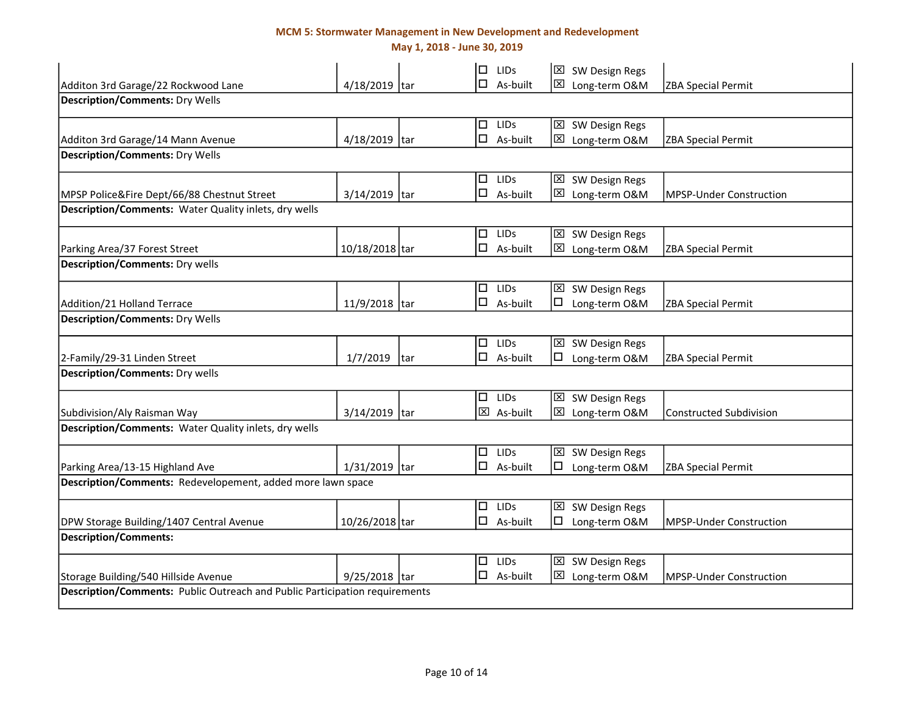May 1, 2018 - June 30, 2019

|                                                                                    |                 |     | $\Box$ | <b>LIDS</b>        |                         | $\boxtimes$ SW Design Regs |                                |
|------------------------------------------------------------------------------------|-----------------|-----|--------|--------------------|-------------------------|----------------------------|--------------------------------|
| Additon 3rd Garage/22 Rockwood Lane                                                | 4/18/2019 tar   |     | □      | As-built           | ⊠                       | Long-term O&M              | <b>ZBA Special Permit</b>      |
| <b>Description/Comments: Dry Wells</b>                                             |                 |     |        |                    |                         |                            |                                |
|                                                                                    |                 |     | $\Box$ | <b>LIDS</b>        |                         | ⊠ SW Design Regs           |                                |
| Additon 3rd Garage/14 Mann Avenue                                                  | 4/18/2019 tar   |     | □      | As-built           | ⊠                       | Long-term O&M              | ZBA Special Permit             |
| <b>Description/Comments: Dry Wells</b>                                             |                 |     |        |                    |                         |                            |                                |
|                                                                                    |                 |     | $\Box$ | <b>LIDS</b>        | $\mathbf{\overline{X}}$ | SW Design Regs             |                                |
| MPSP Police&Fire Dept/66/88 Chestnut Street                                        | 3/14/2019 tar   |     | $\Box$ | As-built           | ⊠                       | Long-term O&M              | <b>MPSP-Under Construction</b> |
| Description/Comments: Water Quality inlets, dry wells                              |                 |     |        |                    |                         |                            |                                |
|                                                                                    |                 |     | $\Box$ | <b>LIDS</b>        |                         | ⊠ SW Design Regs           |                                |
| Parking Area/37 Forest Street                                                      | 10/18/2018 tar  |     |        | $\square$ As-built | $\mathbf{\overline{X}}$ | Long-term O&M              | <b>ZBA Special Permit</b>      |
| <b>Description/Comments: Dry wells</b>                                             |                 |     |        |                    |                         |                            |                                |
|                                                                                    |                 |     | $\Box$ | <b>LIDS</b>        |                         | ⊠ SW Design Regs           |                                |
| Addition/21 Holland Terrace                                                        | 11/9/2018 tar   |     |        | $\Box$ As-built    | □                       | Long-term O&M              | <b>ZBA Special Permit</b>      |
| <b>Description/Comments: Dry Wells</b>                                             |                 |     |        |                    |                         |                            |                                |
|                                                                                    |                 |     | $\Box$ | <b>LIDS</b>        | $\mathbf{\overline{X}}$ | SW Design Regs             |                                |
| 2-Family/29-31 Linden Street                                                       | 1/7/2019        | tar |        | $\Box$ As-built    | □                       | Long-term O&M              | <b>ZBA Special Permit</b>      |
| <b>Description/Comments: Dry wells</b>                                             |                 |     |        |                    |                         |                            |                                |
|                                                                                    |                 |     |        | $\Box$ LIDs        | $\mathbf{\overline{X}}$ | SW Design Regs             |                                |
| Subdivision/Aly Raisman Way                                                        | $3/14/2019$ tar |     |        | 区 As-built         | ⊠                       | Long-term O&M              | <b>Constructed Subdivision</b> |
| Description/Comments: Water Quality inlets, dry wells                              |                 |     |        |                    |                         |                            |                                |
|                                                                                    |                 |     |        | $\Box$ LIDs        |                         | 区 SW Design Regs           |                                |
| Parking Area/13-15 Highland Ave                                                    | $1/31/2019$ tar |     |        | $\square$ As-built | □                       | Long-term O&M              | <b>ZBA Special Permit</b>      |
| Description/Comments: Redevelopement, added more lawn space                        |                 |     |        |                    |                         |                            |                                |
|                                                                                    |                 |     |        | $\Box$ LIDs        |                         | ⊠ SW Design Regs           |                                |
| DPW Storage Building/1407 Central Avenue                                           | 10/26/2018 tar  |     |        | $\Box$ As-built    | $\Box$                  | Long-term O&M              | <b>MPSP-Under Construction</b> |
| <b>Description/Comments:</b>                                                       |                 |     |        |                    |                         |                            |                                |
|                                                                                    |                 |     | $\Box$ | <b>LIDS</b>        |                         | $\boxtimes$ SW Design Regs |                                |
| Storage Building/540 Hillside Avenue                                               | 9/25/2018 tar   |     |        | $\square$ As-built | ⊠                       | Long-term O&M              | MPSP-Under Construction        |
| <b>Description/Comments: Public Outreach and Public Participation requirements</b> |                 |     |        |                    |                         |                            |                                |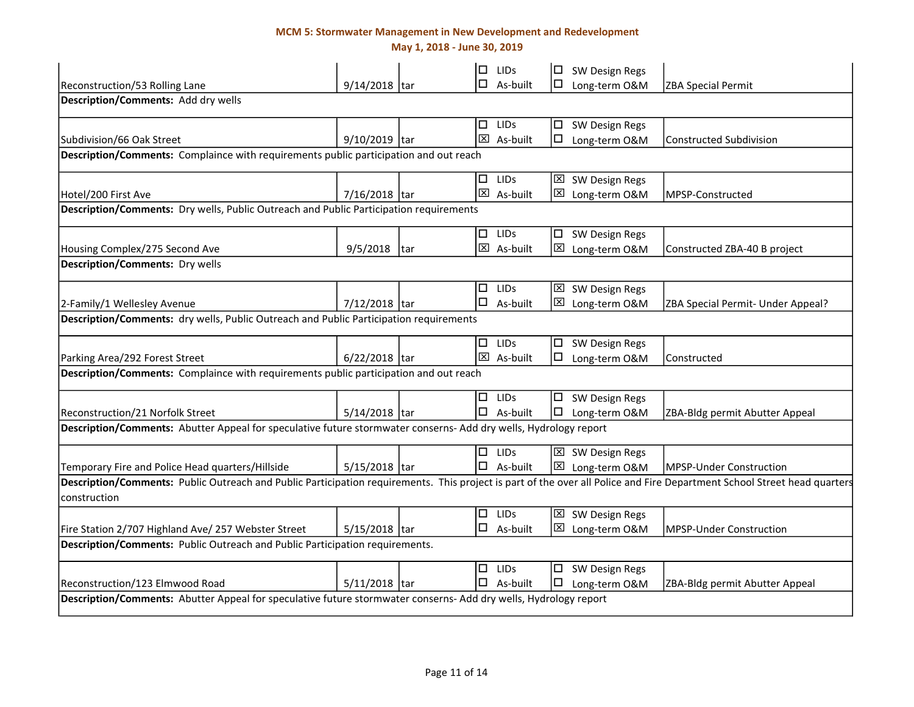May 1, 2018 - June 30, 2019

|                                                                                                                                                                                          |                 |     | □      | <b>LIDS</b>          | □           | SW Design Regs             |                                   |
|------------------------------------------------------------------------------------------------------------------------------------------------------------------------------------------|-----------------|-----|--------|----------------------|-------------|----------------------------|-----------------------------------|
| Reconstruction/53 Rolling Lane                                                                                                                                                           | 9/14/2018 tar   |     | □      | As-built             | $\Box$      | Long-term O&M              | ZBA Special Permit                |
| Description/Comments: Add dry wells                                                                                                                                                      |                 |     |        |                      |             |                            |                                   |
|                                                                                                                                                                                          |                 |     | □      | LIDS                 |             | $\square$ SW Design Regs   |                                   |
| Subdivision/66 Oak Street                                                                                                                                                                | 9/10/2019 tar   |     |        | $\boxtimes$ As-built | □           | Long-term O&M              | <b>Constructed Subdivision</b>    |
| Description/Comments: Complaince with requirements public participation and out reach                                                                                                    |                 |     |        |                      |             |                            |                                   |
|                                                                                                                                                                                          |                 |     |        | LIDs                 |             | <b>区</b> SW Design Regs    |                                   |
| Hotel/200 First Ave                                                                                                                                                                      | 7/16/2018 tar   |     |        | 区 As-built           | ⊠           | Long-term O&M              | MPSP-Constructed                  |
| Description/Comments: Dry wells, Public Outreach and Public Participation requirements                                                                                                   |                 |     |        |                      |             |                            |                                   |
|                                                                                                                                                                                          |                 |     | $\Box$ | <b>LIDS</b>          |             | $\square$ SW Design Regs   |                                   |
| Housing Complex/275 Second Ave                                                                                                                                                           | 9/5/2018        | tar |        | $\boxtimes$ As-built |             | ⊠ Long-term O&M            | Constructed ZBA-40 B project      |
| <b>Description/Comments: Dry wells</b>                                                                                                                                                   |                 |     |        |                      |             |                            |                                   |
|                                                                                                                                                                                          |                 |     | □      | <b>LIDS</b>          |             | $\boxtimes$ SW Design Regs |                                   |
| 2-Family/1 Wellesley Avenue                                                                                                                                                              | 7/12/2018 tar   |     | □      | As-built             |             | ⊠ Long-term O&M            | ZBA Special Permit- Under Appeal? |
| Description/Comments: dry wells, Public Outreach and Public Participation requirements                                                                                                   |                 |     |        |                      |             |                            |                                   |
|                                                                                                                                                                                          |                 |     |        | $\Box$ LIDs          |             | □ SW Design Regs           |                                   |
| Parking Area/292 Forest Street                                                                                                                                                           | $6/22/2018$ tar |     |        | 区 As-built           | $\Box$      | Long-term O&M              | Constructed                       |
| Description/Comments: Complaince with requirements public participation and out reach                                                                                                    |                 |     |        |                      |             |                            |                                   |
|                                                                                                                                                                                          |                 |     | □      | <b>LIDS</b>          |             | $\Box$ SW Design Regs      |                                   |
| Reconstruction/21 Norfolk Street                                                                                                                                                         | 5/14/2018 tar   |     |        | $\Box$ As-built      | O           | Long-term O&M              | ZBA-Bldg permit Abutter Appeal    |
| Description/Comments: Abutter Appeal for speculative future stormwater conserns- Add dry wells, Hydrology report                                                                         |                 |     |        |                      |             |                            |                                   |
|                                                                                                                                                                                          |                 |     | □      | LIDS                 |             | ⊠ SW Design Regs           |                                   |
| Temporary Fire and Police Head quarters/Hillside                                                                                                                                         | $5/15/2018$ tar |     |        | $\Box$ As-built      | $\boxtimes$ | Long-term O&M              | <b>MPSP-Under Construction</b>    |
| Description/Comments: Public Outreach and Public Participation requirements. This project is part of the over all Police and Fire Department School Street head quarters<br>construction |                 |     |        |                      |             |                            |                                   |
|                                                                                                                                                                                          |                 |     |        | $\Box$ LIDS          |             | ⊠ SW Design Regs           |                                   |
| Fire Station 2/707 Highland Ave/ 257 Webster Street                                                                                                                                      | 5/15/2018 tar   |     |        | $\Box$ As-built      |             | ⊠ Long-term O&M            | MPSP-Under Construction           |
| Description/Comments: Public Outreach and Public Participation requirements.                                                                                                             |                 |     |        |                      |             |                            |                                   |
|                                                                                                                                                                                          |                 |     | םי     | LIDS                 |             | □ SW Design Regs           |                                   |
| Reconstruction/123 Elmwood Road                                                                                                                                                          | 5/11/2018 tar   |     |        | $\Box$ As-built      |             | Long-term O&M              | ZBA-Bldg permit Abutter Appeal    |
| Description/Comments: Abutter Appeal for speculative future stormwater conserns- Add dry wells, Hydrology report                                                                         |                 |     |        |                      |             |                            |                                   |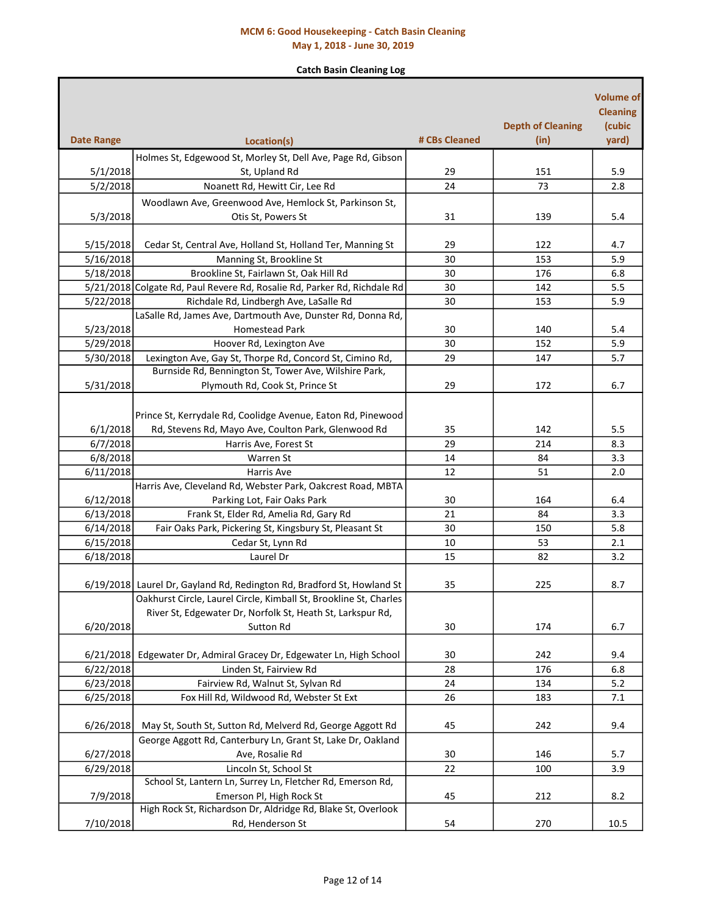## MCM 6: Good Housekeeping - Catch Basin Cleaning May 1, 2018 - June 30, 2019

### Catch Basin Cleaning Log

| <b>Date Range</b> | Location(s)                                                              | # CBs Cleaned | <b>Depth of Cleaning</b><br>(in) | <b>Volume of</b><br><b>Cleaning</b><br>(cubic<br>yard) |
|-------------------|--------------------------------------------------------------------------|---------------|----------------------------------|--------------------------------------------------------|
|                   |                                                                          |               |                                  |                                                        |
|                   | Holmes St, Edgewood St, Morley St, Dell Ave, Page Rd, Gibson             |               |                                  |                                                        |
| 5/1/2018          | St, Upland Rd                                                            | 29            | 151                              | 5.9                                                    |
| 5/2/2018          | Noanett Rd, Hewitt Cir, Lee Rd                                           | 24            | 73                               | 2.8                                                    |
|                   | Woodlawn Ave, Greenwood Ave, Hemlock St, Parkinson St,                   |               |                                  |                                                        |
| 5/3/2018          | Otis St, Powers St                                                       | 31            | 139                              | 5.4                                                    |
|                   |                                                                          |               |                                  |                                                        |
| 5/15/2018         | Cedar St, Central Ave, Holland St, Holland Ter, Manning St               | 29            | 122                              | 4.7                                                    |
| 5/16/2018         | Manning St, Brookline St                                                 | 30            | 153                              | 5.9                                                    |
| 5/18/2018         | Brookline St, Fairlawn St, Oak Hill Rd                                   | 30            | 176                              | 6.8                                                    |
|                   | 5/21/2018 Colgate Rd, Paul Revere Rd, Rosalie Rd, Parker Rd, Richdale Rd | 30            | 142                              | 5.5                                                    |
| 5/22/2018         | Richdale Rd, Lindbergh Ave, LaSalle Rd                                   | 30            | 153                              | 5.9                                                    |
|                   | LaSalle Rd, James Ave, Dartmouth Ave, Dunster Rd, Donna Rd,              |               |                                  |                                                        |
| 5/23/2018         | <b>Homestead Park</b>                                                    | 30            | 140                              | 5.4                                                    |
| 5/29/2018         | Hoover Rd, Lexington Ave                                                 | 30            | 152                              | 5.9                                                    |
| 5/30/2018         | Lexington Ave, Gay St, Thorpe Rd, Concord St, Cimino Rd,                 | 29            | 147                              | 5.7                                                    |
|                   | Burnside Rd, Bennington St, Tower Ave, Wilshire Park,                    |               |                                  |                                                        |
| 5/31/2018         | Plymouth Rd, Cook St, Prince St                                          | 29            | 172                              | 6.7                                                    |
|                   | Prince St, Kerrydale Rd, Coolidge Avenue, Eaton Rd, Pinewood             |               |                                  |                                                        |
| 6/1/2018          | Rd, Stevens Rd, Mayo Ave, Coulton Park, Glenwood Rd                      | 35            | 142                              | 5.5                                                    |
| 6/7/2018          | Harris Ave, Forest St                                                    | 29            | 214                              | 8.3                                                    |
| 6/8/2018          | Warren St                                                                | 14            | 84                               | 3.3                                                    |
| 6/11/2018         | Harris Ave                                                               | 12            | 51                               | 2.0                                                    |
|                   | Harris Ave, Cleveland Rd, Webster Park, Oakcrest Road, MBTA              |               |                                  |                                                        |
| 6/12/2018         | Parking Lot, Fair Oaks Park                                              | 30            | 164                              | 6.4                                                    |
| 6/13/2018         | Frank St, Elder Rd, Amelia Rd, Gary Rd                                   | 21            | 84                               | 3.3                                                    |
| 6/14/2018         | Fair Oaks Park, Pickering St, Kingsbury St, Pleasant St                  | 30            | 150                              | 5.8                                                    |
| 6/15/2018         | Cedar St, Lynn Rd                                                        | 10            | 53                               | 2.1                                                    |
| 6/18/2018         | Laurel Dr                                                                | 15            | 82                               | 3.2                                                    |
|                   |                                                                          |               |                                  |                                                        |
|                   | 6/19/2018 Laurel Dr, Gayland Rd, Redington Rd, Bradford St, Howland St   | 35            | 225                              | 8.7                                                    |
|                   | Oakhurst Circle, Laurel Circle, Kimball St, Brookline St, Charles        |               |                                  |                                                        |
|                   | River St, Edgewater Dr, Norfolk St, Heath St, Larkspur Rd,               |               |                                  |                                                        |
| 6/20/2018         | Sutton Rd                                                                | 30            | 174                              | 6.7                                                    |
|                   |                                                                          |               |                                  |                                                        |
| 6/21/2018         | Edgewater Dr, Admiral Gracey Dr, Edgewater Ln, High School               | 30            | 242                              | 9.4                                                    |
| 6/22/2018         | Linden St, Fairview Rd                                                   | 28            | 176                              | 6.8                                                    |
| 6/23/2018         | Fairview Rd, Walnut St, Sylvan Rd                                        | 24            | 134                              | 5.2                                                    |
| 6/25/2018         | Fox Hill Rd, Wildwood Rd, Webster St Ext                                 | 26            | 183                              | 7.1                                                    |
|                   |                                                                          |               |                                  |                                                        |
| 6/26/2018         | May St, South St, Sutton Rd, Melverd Rd, George Aggott Rd                | 45            | 242                              | 9.4                                                    |
|                   | George Aggott Rd, Canterbury Ln, Grant St, Lake Dr, Oakland              |               |                                  |                                                        |
| 6/27/2018         | Ave, Rosalie Rd                                                          | 30            | 146                              | 5.7                                                    |
| 6/29/2018         | Lincoln St, School St                                                    | 22            | 100                              | 3.9                                                    |
|                   | School St, Lantern Ln, Surrey Ln, Fletcher Rd, Emerson Rd,               |               |                                  |                                                        |
| 7/9/2018          | Emerson Pl, High Rock St                                                 | 45            | 212                              | 8.2                                                    |
|                   | High Rock St, Richardson Dr, Aldridge Rd, Blake St, Overlook             |               |                                  |                                                        |
| 7/10/2018         | Rd, Henderson St                                                         | 54            | 270                              | 10.5                                                   |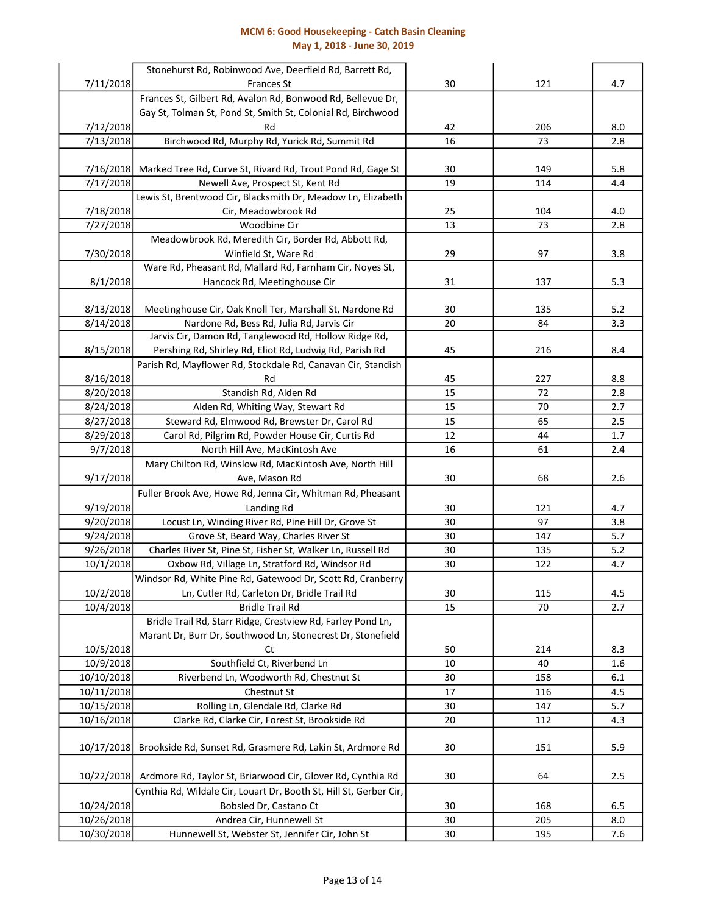### MCM 6: Good Housekeeping - Catch Basin Cleaning May 1, 2018 - June 30, 2019

|                          | Stonehurst Rd, Robinwood Ave, Deerfield Rd, Barrett Rd,                                         |          |            |            |
|--------------------------|-------------------------------------------------------------------------------------------------|----------|------------|------------|
| 7/11/2018                | <b>Frances St</b>                                                                               | 30       | 121        | 4.7        |
|                          | Frances St, Gilbert Rd, Avalon Rd, Bonwood Rd, Bellevue Dr,                                     |          |            |            |
|                          | Gay St, Tolman St, Pond St, Smith St, Colonial Rd, Birchwood                                    |          |            |            |
| 7/12/2018                | Rd                                                                                              | 42       | 206        | 8.0        |
| 7/13/2018                | Birchwood Rd, Murphy Rd, Yurick Rd, Summit Rd                                                   | 16       | 73         | 2.8        |
|                          |                                                                                                 |          |            |            |
| 7/16/2018<br>7/17/2018   | Marked Tree Rd, Curve St, Rivard Rd, Trout Pond Rd, Gage St<br>Newell Ave, Prospect St, Kent Rd | 30<br>19 | 149<br>114 | 5.8<br>4.4 |
|                          | Lewis St, Brentwood Cir, Blacksmith Dr, Meadow Ln, Elizabeth                                    |          |            |            |
| 7/18/2018                | Cir, Meadowbrook Rd                                                                             | 25       | 104        | 4.0        |
| 7/27/2018                | Woodbine Cir                                                                                    | 13       | 73         | 2.8        |
|                          | Meadowbrook Rd, Meredith Cir, Border Rd, Abbott Rd,                                             |          |            |            |
| 7/30/2018                | Winfield St, Ware Rd                                                                            | 29       | 97         | 3.8        |
|                          | Ware Rd, Pheasant Rd, Mallard Rd, Farnham Cir, Noyes St,                                        |          |            |            |
| 8/1/2018                 | Hancock Rd, Meetinghouse Cir                                                                    | 31       | 137        | 5.3        |
|                          |                                                                                                 |          |            |            |
| 8/13/2018                | Meetinghouse Cir, Oak Knoll Ter, Marshall St, Nardone Rd                                        | 30       | 135        | 5.2        |
| 8/14/2018                | Nardone Rd, Bess Rd, Julia Rd, Jarvis Cir                                                       | 20       | 84         | 3.3        |
|                          | Jarvis Cir, Damon Rd, Tanglewood Rd, Hollow Ridge Rd,                                           |          |            |            |
| 8/15/2018                | Pershing Rd, Shirley Rd, Eliot Rd, Ludwig Rd, Parish Rd                                         | 45       | 216        | 8.4        |
|                          | Parish Rd, Mayflower Rd, Stockdale Rd, Canavan Cir, Standish                                    |          |            |            |
| 8/16/2018                | Rd                                                                                              | 45       | 227        | 8.8        |
| 8/20/2018                | Standish Rd, Alden Rd                                                                           | 15       | 72         | 2.8        |
| 8/24/2018                | Alden Rd, Whiting Way, Stewart Rd                                                               | 15       | 70         | 2.7        |
| 8/27/2018                | Steward Rd, Elmwood Rd, Brewster Dr, Carol Rd                                                   | 15       | 65         | 2.5        |
| 8/29/2018                | Carol Rd, Pilgrim Rd, Powder House Cir, Curtis Rd                                               | 12       | 44         | 1.7        |
| 9/7/2018                 | North Hill Ave, MacKintosh Ave                                                                  | 16       | 61         | 2.4        |
|                          | Mary Chilton Rd, Winslow Rd, MacKintosh Ave, North Hill                                         |          |            |            |
| 9/17/2018                | Ave, Mason Rd                                                                                   | 30       | 68         | 2.6        |
|                          | Fuller Brook Ave, Howe Rd, Jenna Cir, Whitman Rd, Pheasant                                      |          |            |            |
| 9/19/2018                | Landing Rd                                                                                      | 30       | 121        | 4.7        |
| 9/20/2018                | Locust Ln, Winding River Rd, Pine Hill Dr, Grove St                                             | 30       | 97         | 3.8        |
| 9/24/2018                | Grove St, Beard Way, Charles River St                                                           | 30       | 147        | 5.7        |
| 9/26/2018                | Charles River St, Pine St, Fisher St, Walker Ln, Russell Rd                                     | 30       | 135        | 5.2        |
| 10/1/2018                | Oxbow Rd, Village Ln, Stratford Rd, Windsor Rd                                                  | 30       | 122        | 4.7        |
|                          | Windsor Rd, White Pine Rd, Gatewood Dr, Scott Rd, Cranberry                                     |          |            |            |
| 10/2/2018                | Ln, Cutler Rd, Carleton Dr, Bridle Trail Rd                                                     | 30       | 115        | 4.5        |
| 10/4/2018                | <b>Bridle Trail Rd</b>                                                                          | 15       | 70         | 2.7        |
|                          | Bridle Trail Rd, Starr Ridge, Crestview Rd, Farley Pond Ln,                                     |          |            |            |
|                          | Marant Dr, Burr Dr, Southwood Ln, Stonecrest Dr, Stonefield                                     |          |            |            |
| 10/5/2018                | Ct                                                                                              | 50       | 214        | 8.3        |
| 10/9/2018                | Southfield Ct, Riverbend Ln                                                                     | 10       | 40         | 1.6        |
| 10/10/2018               | Riverbend Ln, Woodworth Rd, Chestnut St                                                         | 30       | 158        | 6.1        |
| 10/11/2018               | Chestnut St                                                                                     | 17       | 116        | 4.5        |
| 10/15/2018               | Rolling Ln, Glendale Rd, Clarke Rd                                                              | 30       | 147        | 5.7        |
| 10/16/2018               | Clarke Rd, Clarke Cir, Forest St, Brookside Rd                                                  | 20       | 112        | 4.3        |
|                          |                                                                                                 | 30       |            |            |
| 10/17/2018               | Brookside Rd, Sunset Rd, Grasmere Rd, Lakin St, Ardmore Rd                                      |          | 151        | 5.9        |
|                          | Ardmore Rd, Taylor St, Briarwood Cir, Glover Rd, Cynthia Rd                                     | 30       | 64         | 2.5        |
| 10/22/2018               |                                                                                                 |          |            |            |
|                          | Cynthia Rd, Wildale Cir, Louart Dr, Booth St, Hill St, Gerber Cir,                              | 30       |            |            |
| 10/24/2018<br>10/26/2018 | Bobsled Dr, Castano Ct<br>Andrea Cir, Hunnewell St                                              | 30       | 168<br>205 | 6.5<br>8.0 |
| 10/30/2018               | Hunnewell St, Webster St, Jennifer Cir, John St                                                 | 30       | 195        | 7.6        |
|                          |                                                                                                 |          |            |            |